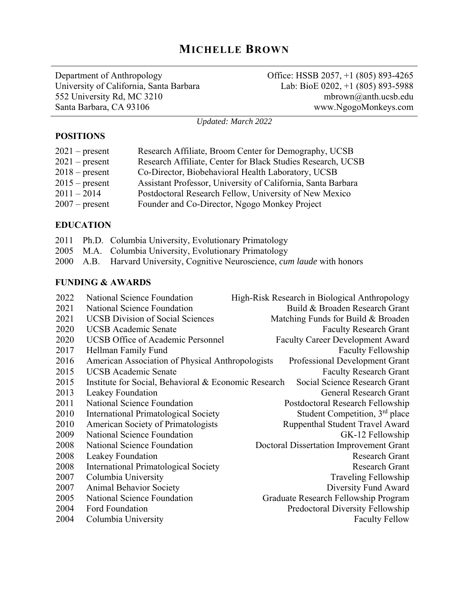# **MICHELLE BROWN**

Department of Anthropology University of California, Santa Barbara 552 University Rd, MC 3210 Santa Barbara, CA 93106

Office: HSSB 2057, +1 (805) 893-4265 Lab: BioE 0202, +1 (805) 893-5988 mbrown@anth.ucsb.edu www.NgogoMonkeys.com

*Updated: March 2022*

#### **POSITIONS**

| $2021$ – present | Research Affiliate, Broom Center for Demography, UCSB        |
|------------------|--------------------------------------------------------------|
| $2021$ – present | Research Affiliate, Center for Black Studies Research, UCSB  |
| $2018$ – present | Co-Director, Biobehavioral Health Laboratory, UCSB           |
| $2015$ – present | Assistant Professor, University of California, Santa Barbara |
| $2011 - 2014$    | Postdoctoral Research Fellow, University of New Mexico       |
| $2007$ – present | Founder and Co-Director, Ngogo Monkey Project                |

#### **EDUCATION**

|  | 2011 Ph.D. Columbia University, Evolutionary Primatology                           |
|--|------------------------------------------------------------------------------------|
|  | 2005 M.A. Columbia University, Evolutionary Primatology                            |
|  | 2000 A.B. Harvard University, Cognitive Neuroscience, <i>cum laude</i> with honors |

#### **FUNDING & AWARDS**

| 2022 | National Science Foundation                          | High-Risk Research in Biological Anthropology |
|------|------------------------------------------------------|-----------------------------------------------|
| 2021 | National Science Foundation                          | Build & Broaden Research Grant                |
| 2021 | <b>UCSB</b> Division of Social Sciences              | Matching Funds for Build & Broaden            |
| 2020 | <b>UCSB</b> Academic Senate                          | <b>Faculty Research Grant</b>                 |
| 2020 | <b>UCSB Office of Academic Personnel</b>             | <b>Faculty Career Development Award</b>       |
| 2017 | Hellman Family Fund                                  | Faculty Fellowship                            |
| 2016 | American Association of Physical Anthropologists     | Professional Development Grant                |
| 2015 | <b>UCSB</b> Academic Senate                          | <b>Faculty Research Grant</b>                 |
| 2015 | Institute for Social, Behavioral & Economic Research | Social Science Research Grant                 |
| 2013 | Leakey Foundation                                    | <b>General Research Grant</b>                 |
| 2011 | National Science Foundation                          | Postdoctoral Research Fellowship              |
| 2010 | <b>International Primatological Society</b>          | Student Competition, 3 <sup>rd</sup> place    |
| 2010 | American Society of Primatologists                   | Ruppenthal Student Travel Award               |
| 2009 | National Science Foundation                          | GK-12 Fellowship                              |
| 2008 | National Science Foundation                          | Doctoral Dissertation Improvement Grant       |
| 2008 | Leakey Foundation                                    | Research Grant                                |
| 2008 | <b>International Primatological Society</b>          | <b>Research Grant</b>                         |
| 2007 | Columbia University                                  | Traveling Fellowship                          |
| 2007 | <b>Animal Behavior Society</b>                       | Diversity Fund Award                          |
| 2005 | National Science Foundation                          | Graduate Research Fellowship Program          |
| 2004 | Ford Foundation                                      | Predoctoral Diversity Fellowship              |
| 2004 | Columbia University                                  | <b>Faculty Fellow</b>                         |
|      |                                                      |                                               |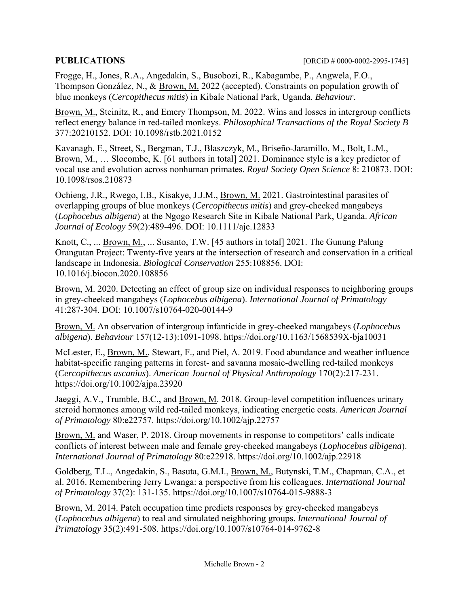Frogge, H., Jones, R.A., Angedakin, S., Busobozi, R., Kabagambe, P., Angwela, F.O., Thompson González, N., & Brown, M. 2022 (accepted). Constraints on population growth of blue monkeys (*Cercopithecus mitis*) in Kibale National Park, Uganda. *Behaviour*.

Brown, M., Steinitz, R., and Emery Thompson, M. 2022. Wins and losses in intergroup conflicts reflect energy balance in red-tailed monkeys. *Philosophical Transactions of the Royal Society B* 377:20210152. DOI: 10.1098/rstb.2021.0152

Kavanagh, E., Street, S., Bergman, T.J., Blaszczyk, M., Briseño-Jaramillo, M., Bolt, L.M., Brown, M., … Slocombe, K. [61 authors in total] 2021. Dominance style is a key predictor of vocal use and evolution across nonhuman primates. *Royal Society Open Science* 8: 210873. DOI: 10.1098/rsos.210873

Ochieng, J.R., Rwego, I.B., Kisakye, J.J.M., Brown, M. 2021. Gastrointestinal parasites of overlapping groups of blue monkeys (*Cercopithecus mitis*) and grey-cheeked mangabeys (*Lophocebus albigena*) at the Ngogo Research Site in Kibale National Park, Uganda. *African Journal of Ecology* 59(2):489-496. DOI: 10.1111/aje.12833

Knott, C., ... Brown, M., ... Susanto, T.W. [45 authors in total] 2021. The Gunung Palung Orangutan Project: Twenty-five years at the intersection of research and conservation in a critical landscape in Indonesia. *Biological Conservation* 255:108856. DOI: 10.1016/j.biocon.2020.108856

Brown, M. 2020. Detecting an effect of group size on individual responses to neighboring groups in grey-cheeked mangabeys (*Lophocebus albigena*). *International Journal of Primatology* 41:287-304. DOI: 10.1007/s10764-020-00144-9

Brown, M. An observation of intergroup infanticide in grey-cheeked mangabeys (*Lophocebus albigena*). *Behaviour* 157(12-13):1091-1098. https://doi.org/10.1163/1568539X-bja10031

McLester, E., Brown, M., Stewart, F., and Piel, A. 2019. Food abundance and weather influence habitat-specific ranging patterns in forest- and savanna mosaic-dwelling red-tailed monkeys (*Cercopithecus ascanius*). *American Journal of Physical Anthropology* 170(2):217-231. https://doi.org/10.1002/ajpa.23920

Jaeggi, A.V., Trumble, B.C., and Brown, M. 2018. Group-level competition influences urinary steroid hormones among wild red-tailed monkeys, indicating energetic costs. *American Journal of Primatology* 80:e22757. https://doi.org/10.1002/ajp.22757

Brown, M. and Waser, P. 2018. Group movements in response to competitors' calls indicate conflicts of interest between male and female grey-cheeked mangabeys (*Lophocebus albigena*). *International Journal of Primatology* 80:e22918. https://doi.org/10.1002/ajp.22918

Goldberg, T.L., Angedakin, S., Basuta, G.M.I., Brown, M., Butynski, T.M., Chapman, C.A., et al. 2016. Remembering Jerry Lwanga: a perspective from his colleagues. *International Journal of Primatology* 37(2): 131-135. https://doi.org/10.1007/s10764-015-9888-3

Brown, M. 2014. Patch occupation time predicts responses by grey-cheeked mangabeys (*Lophocebus albigena*) to real and simulated neighboring groups. *International Journal of Primatology* 35(2):491-508. https://doi.org/10.1007/s10764-014-9762-8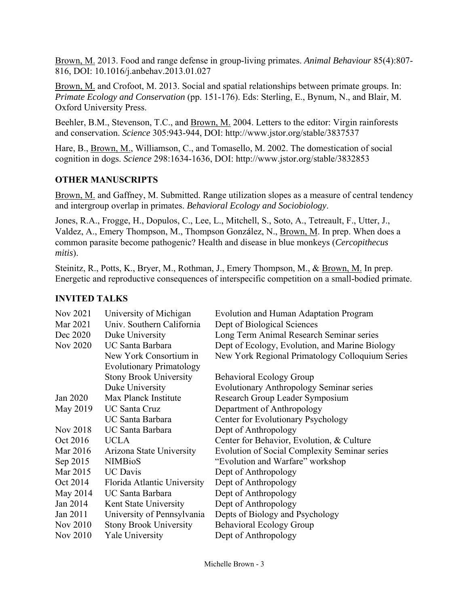Brown, M. 2013. Food and range defense in group-living primates. *Animal Behaviour* 85(4):807- 816, DOI: 10.1016/j.anbehav.2013.01.027

Brown, M. and Crofoot, M. 2013. Social and spatial relationships between primate groups. In: *Primate Ecology and Conservation* (pp. 151-176). Eds: Sterling, E., Bynum, N., and Blair, M. Oxford University Press.

Beehler, B.M., Stevenson, T.C., and Brown, M. 2004. Letters to the editor: Virgin rainforests and conservation. *Science* 305:943-944, DOI: http://www.jstor.org/stable/3837537

Hare, B., Brown, M., Williamson, C., and Tomasello, M. 2002. The domestication of social cognition in dogs. *Science* 298:1634-1636, DOI: http://www.jstor.org/stable/3832853

#### **OTHER MANUSCRIPTS**

Brown, M. and Gaffney, M. Submitted. Range utilization slopes as a measure of central tendency and intergroup overlap in primates. *Behavioral Ecology and Sociobiology*.

Jones, R.A., Frogge, H., Dopulos, C., Lee, L., Mitchell, S., Soto, A., Tetreault, F., Utter, J., Valdez, A., Emery Thompson, M., Thompson González, N., Brown, M. In prep. When does a common parasite become pathogenic? Health and disease in blue monkeys (*Cercopithecus mitis*).

Steinitz, R., Potts, K., Bryer, M., Rothman, J., Emery Thompson, M., & Brown, M. In prep. Energetic and reproductive consequences of interspecific competition on a small-bodied primate.

#### **INVITED TALKS**

| Nov 2021        | University of Michigan          | Evolution and Human Adaptation Program               |
|-----------------|---------------------------------|------------------------------------------------------|
| Mar 2021        | Univ. Southern California       | Dept of Biological Sciences                          |
| Dec 2020        | Duke University                 | Long Term Animal Research Seminar series             |
| <b>Nov 2020</b> | UC Santa Barbara                | Dept of Ecology, Evolution, and Marine Biology       |
|                 | New York Consortium in          | New York Regional Primatology Colloquium Series      |
|                 | <b>Evolutionary Primatology</b> |                                                      |
|                 | <b>Stony Brook University</b>   | <b>Behavioral Ecology Group</b>                      |
|                 | Duke University                 | <b>Evolutionary Anthropology Seminar series</b>      |
| Jan 2020        | Max Planck Institute            | Research Group Leader Symposium                      |
| May 2019        | <b>UC Santa Cruz</b>            | Department of Anthropology                           |
|                 | UC Santa Barbara                | Center for Evolutionary Psychology                   |
| Nov 2018        | UC Santa Barbara                | Dept of Anthropology                                 |
| Oct 2016        | <b>UCLA</b>                     | Center for Behavior, Evolution, & Culture            |
| Mar 2016        | Arizona State University        | <b>Evolution of Social Complexity Seminar series</b> |
| Sep 2015        | <b>NIMBioS</b>                  | "Evolution and Warfare" workshop                     |
| Mar 2015        | <b>UC</b> Davis                 | Dept of Anthropology                                 |
| Oct 2014        | Florida Atlantic University     | Dept of Anthropology                                 |
| May 2014        | UC Santa Barbara                | Dept of Anthropology                                 |
| Jan 2014        | Kent State University           | Dept of Anthropology                                 |
| Jan 2011        | University of Pennsylvania      | Depts of Biology and Psychology                      |
| <b>Nov 2010</b> | <b>Stony Brook University</b>   | <b>Behavioral Ecology Group</b>                      |
| <b>Nov 2010</b> | <b>Yale University</b>          | Dept of Anthropology                                 |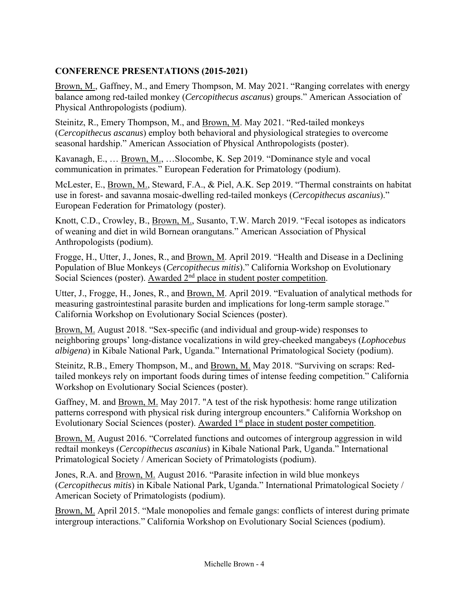## **CONFERENCE PRESENTATIONS (2015-2021)**

Brown, M., Gaffney, M., and Emery Thompson, M. May 2021. "Ranging correlates with energy balance among red-tailed monkey (*Cercopithecus ascanus*) groups." American Association of Physical Anthropologists (podium).

Steinitz, R., Emery Thompson, M., and Brown, M. May 2021. "Red-tailed monkeys (*Cercopithecus ascanus*) employ both behavioral and physiological strategies to overcome seasonal hardship." American Association of Physical Anthropologists (poster).

Kavanagh, E., … Brown, M., …Slocombe, K. Sep 2019. "Dominance style and vocal communication in primates." European Federation for Primatology (podium).

McLester, E., Brown, M., Steward, F.A., & Piel, A.K. Sep 2019. "Thermal constraints on habitat use in forest- and savanna mosaic-dwelling red-tailed monkeys (*Cercopithecus ascanius*)." European Federation for Primatology (poster).

Knott, C.D., Crowley, B., Brown, M., Susanto, T.W. March 2019. "Fecal isotopes as indicators of weaning and diet in wild Bornean orangutans." American Association of Physical Anthropologists (podium).

Frogge, H., Utter, J., Jones, R., and Brown, M. April 2019. "Health and Disease in a Declining Population of Blue Monkeys (*Cercopithecus mitis*)." California Workshop on Evolutionary Social Sciences (poster). Awarded 2<sup>nd</sup> place in student poster competition.

Utter, J., Frogge, H., Jones, R., and Brown, M. April 2019. "Evaluation of analytical methods for measuring gastrointestinal parasite burden and implications for long-term sample storage." California Workshop on Evolutionary Social Sciences (poster).

Brown, M. August 2018. "Sex-specific (and individual and group-wide) responses to neighboring groups' long-distance vocalizations in wild grey-cheeked mangabeys (*Lophocebus albigena*) in Kibale National Park, Uganda." International Primatological Society (podium).

Steinitz, R.B., Emery Thompson, M., and Brown, M. May 2018. "Surviving on scraps: Redtailed monkeys rely on important foods during times of intense feeding competition." California Workshop on Evolutionary Social Sciences (poster).

Gaffney, M. and Brown, M. May 2017. "A test of the risk hypothesis: home range utilization patterns correspond with physical risk during intergroup encounters." California Workshop on Evolutionary Social Sciences (poster). Awarded 1<sup>st</sup> place in student poster competition.

Brown, M. August 2016. "Correlated functions and outcomes of intergroup aggression in wild redtail monkeys (*Cercopithecus ascanius*) in Kibale National Park, Uganda." International Primatological Society / American Society of Primatologists (podium).

Jones, R.A. and Brown, M. August 2016. "Parasite infection in wild blue monkeys (*Cercopithecus mitis*) in Kibale National Park, Uganda." International Primatological Society / American Society of Primatologists (podium).

Brown, M. April 2015. "Male monopolies and female gangs: conflicts of interest during primate intergroup interactions." California Workshop on Evolutionary Social Sciences (podium).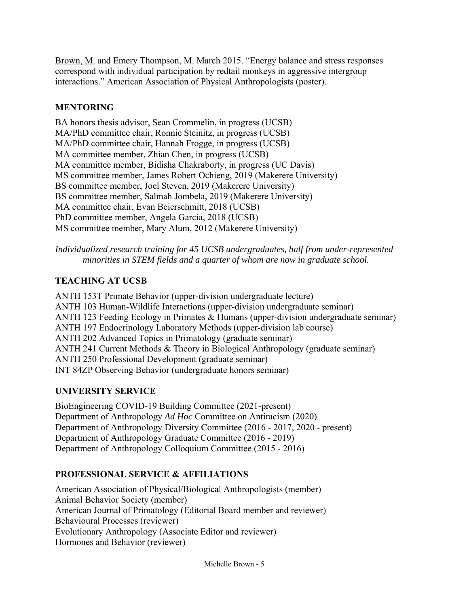Brown, M. and Emery Thompson, M. March 2015. "Energy balance and stress responses correspond with individual participation by redtail monkeys in aggressive intergroup interactions." American Association of Physical Anthropologists (poster).

#### **MENTORING**

BA honors thesis advisor, Sean Crommelin, in progress (UCSB) MA/PhD committee chair, Ronnie Steinitz, in progress (UCSB) MA/PhD committee chair, Hannah Frogge, in progress (UCSB) MA committee member, Zhian Chen, in progress (UCSB) MA committee member, Bidisha Chakraborty, in progress (UC Davis) MS committee member, James Robert Ochieng, 2019 (Makerere University) BS committee member, Joel Steven, 2019 (Makerere University) BS committee member, Salmah Jombela, 2019 (Makerere University) MA committee chair, Evan Beierschmitt, 2018 (UCSB) PhD committee member, Angela Garcia, 2018 (UCSB) MS committee member, Mary Alum, 2012 (Makerere University)

*Individualized research training for 45 UCSB undergraduates, half from under-represented minorities in STEM fields and a quarter of whom are now in graduate school.* 

### **TEACHING AT UCSB**

ANTH 153T Primate Behavior (upper-division undergraduate lecture) ANTH 103 Human-Wildlife Interactions (upper-division undergraduate seminar) ANTH 123 Feeding Ecology in Primates & Humans (upper-division undergraduate seminar) ANTH 197 Endocrinology Laboratory Methods (upper-division lab course) ANTH 202 Advanced Topics in Primatology (graduate seminar) ANTH 241 Current Methods & Theory in Biological Anthropology (graduate seminar) ANTH 250 Professional Development (graduate seminar) INT 84ZP Observing Behavior (undergraduate honors seminar)

#### **UNIVERSITY SERVICE**

BioEngineering COVID-19 Building Committee (2021-present) Department of Anthropology *Ad Hoc* Committee on Antiracism (2020) Department of Anthropology Diversity Committee (2016 - 2017, 2020 - present) Department of Anthropology Graduate Committee (2016 - 2019) Department of Anthropology Colloquium Committee (2015 - 2016)

# **PROFESSIONAL SERVICE & AFFILIATIONS**

American Association of Physical/Biological Anthropologists (member) Animal Behavior Society (member) American Journal of Primatology (Editorial Board member and reviewer) Behavioural Processes (reviewer) Evolutionary Anthropology (Associate Editor and reviewer) Hormones and Behavior (reviewer)